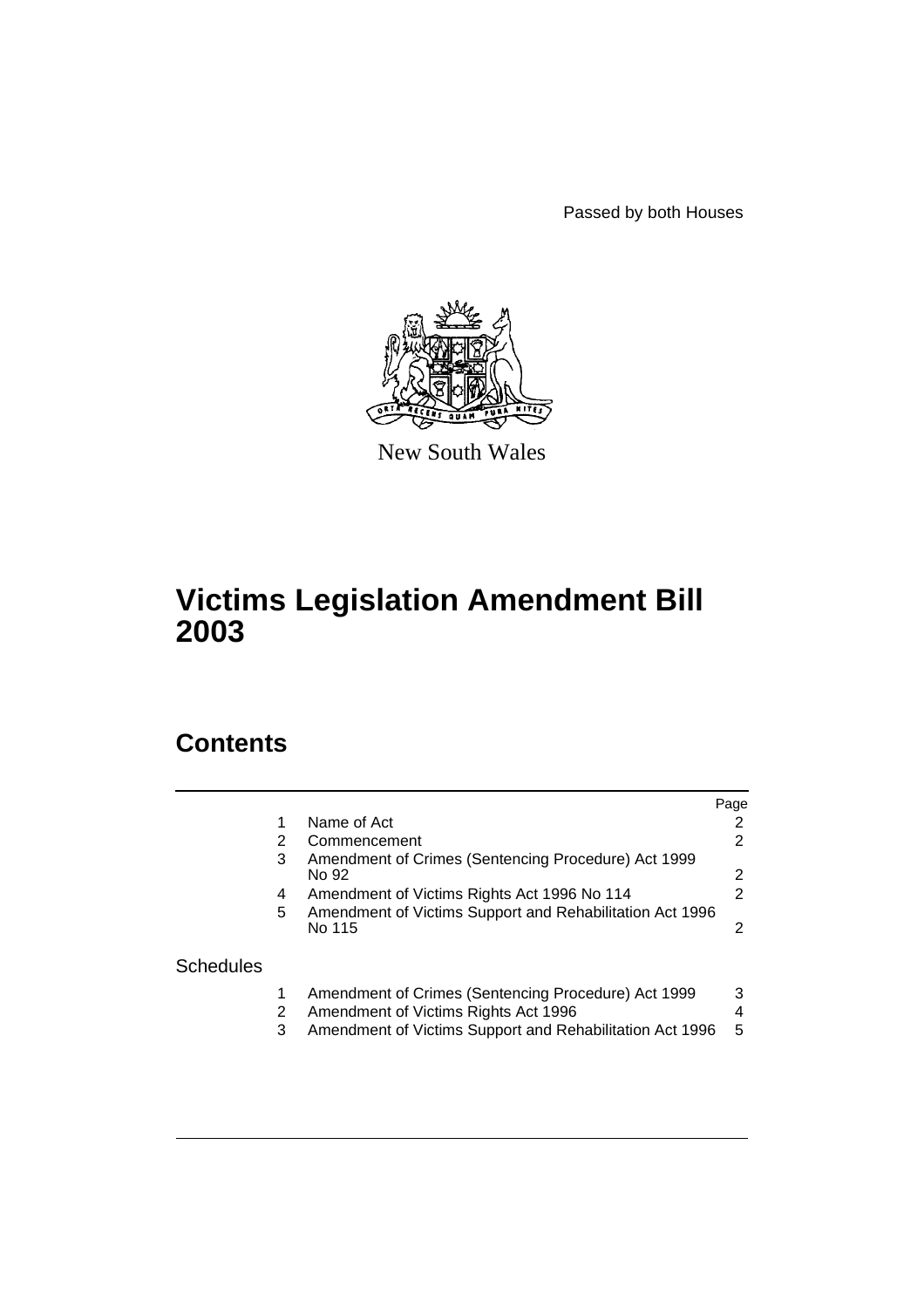Passed by both Houses



New South Wales

# **Victims Legislation Amendment Bill 2003**

# **Contents**

|                  |   |                                                              | Page |
|------------------|---|--------------------------------------------------------------|------|
|                  |   | Name of Act                                                  | 2    |
|                  | 2 | Commencement                                                 | 2    |
|                  | 3 | Amendment of Crimes (Sentencing Procedure) Act 1999<br>No 92 | 2    |
|                  | 4 | Amendment of Victims Rights Act 1996 No 114                  | 2    |
|                  | 5 | Amendment of Victims Support and Rehabilitation Act 1996     |      |
|                  |   | No 115                                                       | 2    |
| <b>Schedules</b> |   |                                                              |      |
|                  |   | Amendment of Crimes (Sentencing Procedure) Act 1999          | 3    |
|                  | 2 | Amendment of Victims Rights Act 1996                         | 4    |
|                  | 3 | Amendment of Victims Support and Rehabilitation Act 1996     | 5    |
|                  |   |                                                              |      |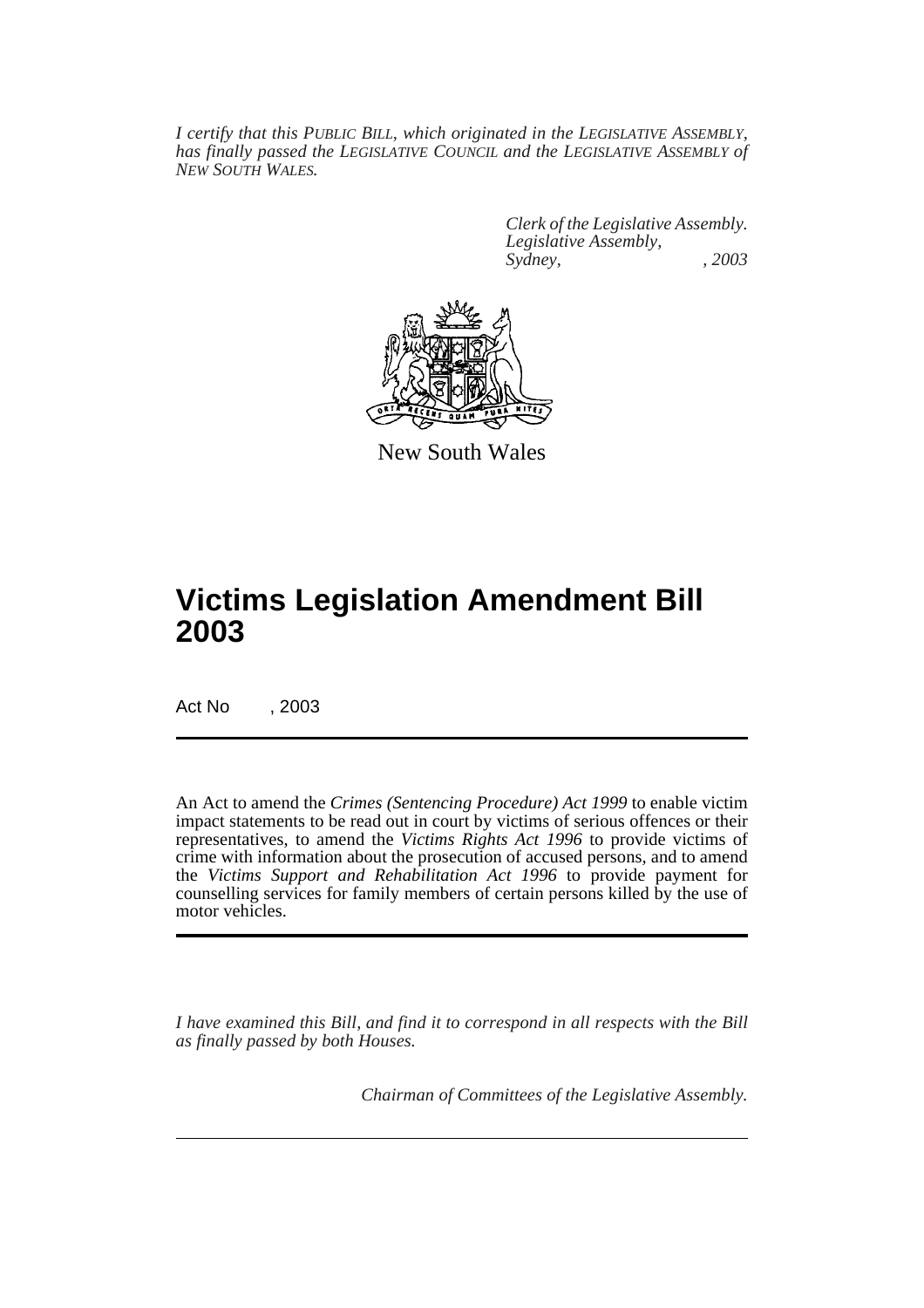*I certify that this PUBLIC BILL, which originated in the LEGISLATIVE ASSEMBLY, has finally passed the LEGISLATIVE COUNCIL and the LEGISLATIVE ASSEMBLY of NEW SOUTH WALES.*

> *Clerk of the Legislative Assembly. Legislative Assembly, Sydney, , 2003*



New South Wales

# **Victims Legislation Amendment Bill 2003**

Act No , 2003

An Act to amend the *Crimes (Sentencing Procedure) Act 1999* to enable victim impact statements to be read out in court by victims of serious offences or their representatives, to amend the *Victims Rights Act 1996* to provide victims of crime with information about the prosecution of accused persons, and to amend the *Victims Support and Rehabilitation Act 1996* to provide payment for counselling services for family members of certain persons killed by the use of motor vehicles.

*I have examined this Bill, and find it to correspond in all respects with the Bill as finally passed by both Houses.*

*Chairman of Committees of the Legislative Assembly.*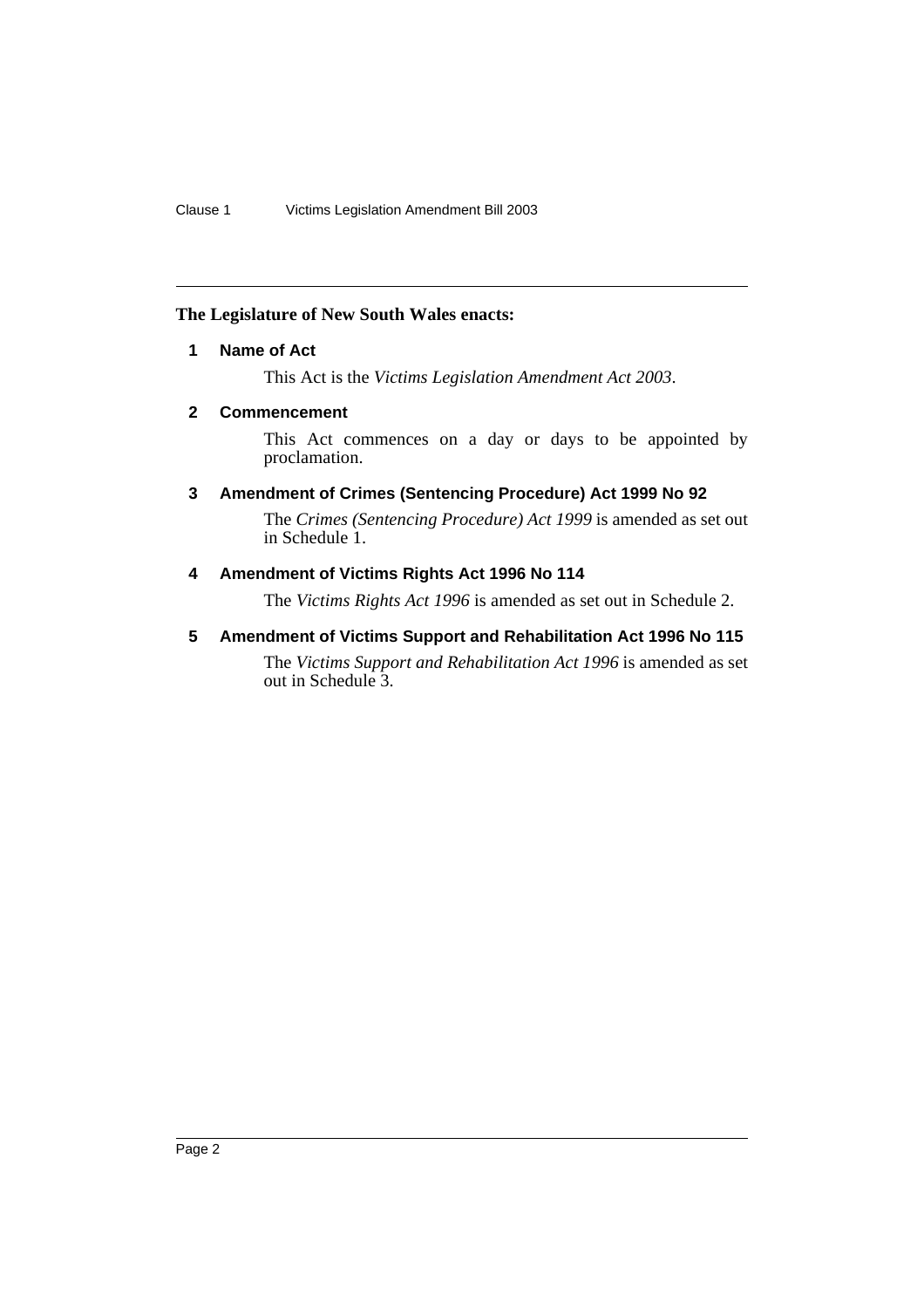### <span id="page-2-0"></span>**The Legislature of New South Wales enacts:**

## **1 Name of Act**

This Act is the *Victims Legislation Amendment Act 2003*.

## <span id="page-2-1"></span>**2 Commencement**

This Act commences on a day or days to be appointed by proclamation.

# <span id="page-2-2"></span>**3 Amendment of Crimes (Sentencing Procedure) Act 1999 No 92**

The *Crimes (Sentencing Procedure) Act 1999* is amended as set out in Schedule 1.

# <span id="page-2-3"></span>**4 Amendment of Victims Rights Act 1996 No 114**

The *Victims Rights Act 1996* is amended as set out in Schedule 2.

## <span id="page-2-4"></span>**5 Amendment of Victims Support and Rehabilitation Act 1996 No 115**

The *Victims Support and Rehabilitation Act 1996* is amended as set out in Schedule 3.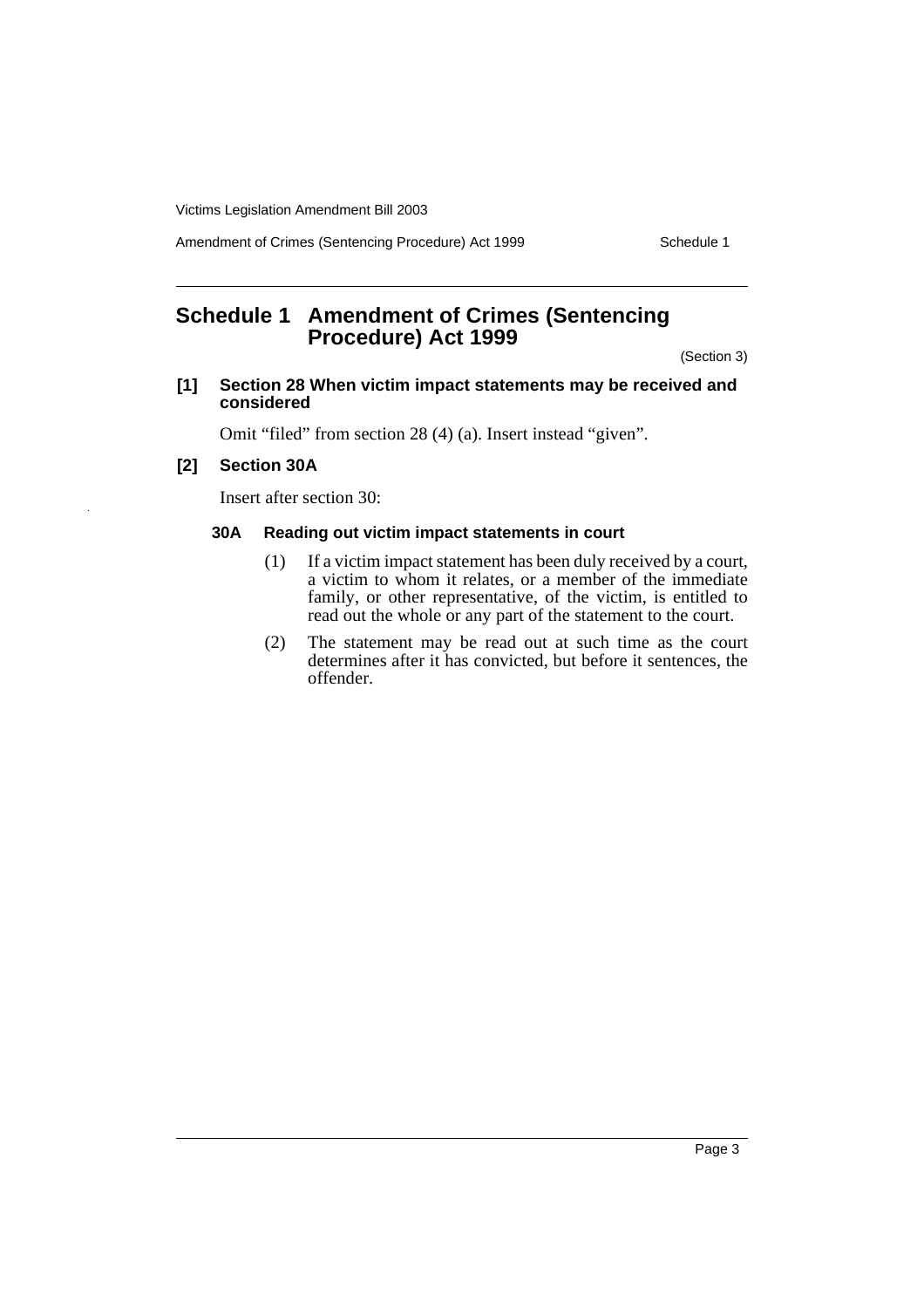Victims Legislation Amendment Bill 2003

Amendment of Crimes (Sentencing Procedure) Act 1999 Schedule 1

# <span id="page-3-0"></span>**Schedule 1 Amendment of Crimes (Sentencing Procedure) Act 1999**

(Section 3)

#### **[1] Section 28 When victim impact statements may be received and considered**

Omit "filed" from section 28 (4) (a). Insert instead "given".

### **[2] Section 30A**

Insert after section 30:

### **30A Reading out victim impact statements in court**

- (1) If a victim impact statement has been duly received by a court, a victim to whom it relates, or a member of the immediate family, or other representative, of the victim, is entitled to read out the whole or any part of the statement to the court.
- (2) The statement may be read out at such time as the court determines after it has convicted, but before it sentences, the offender.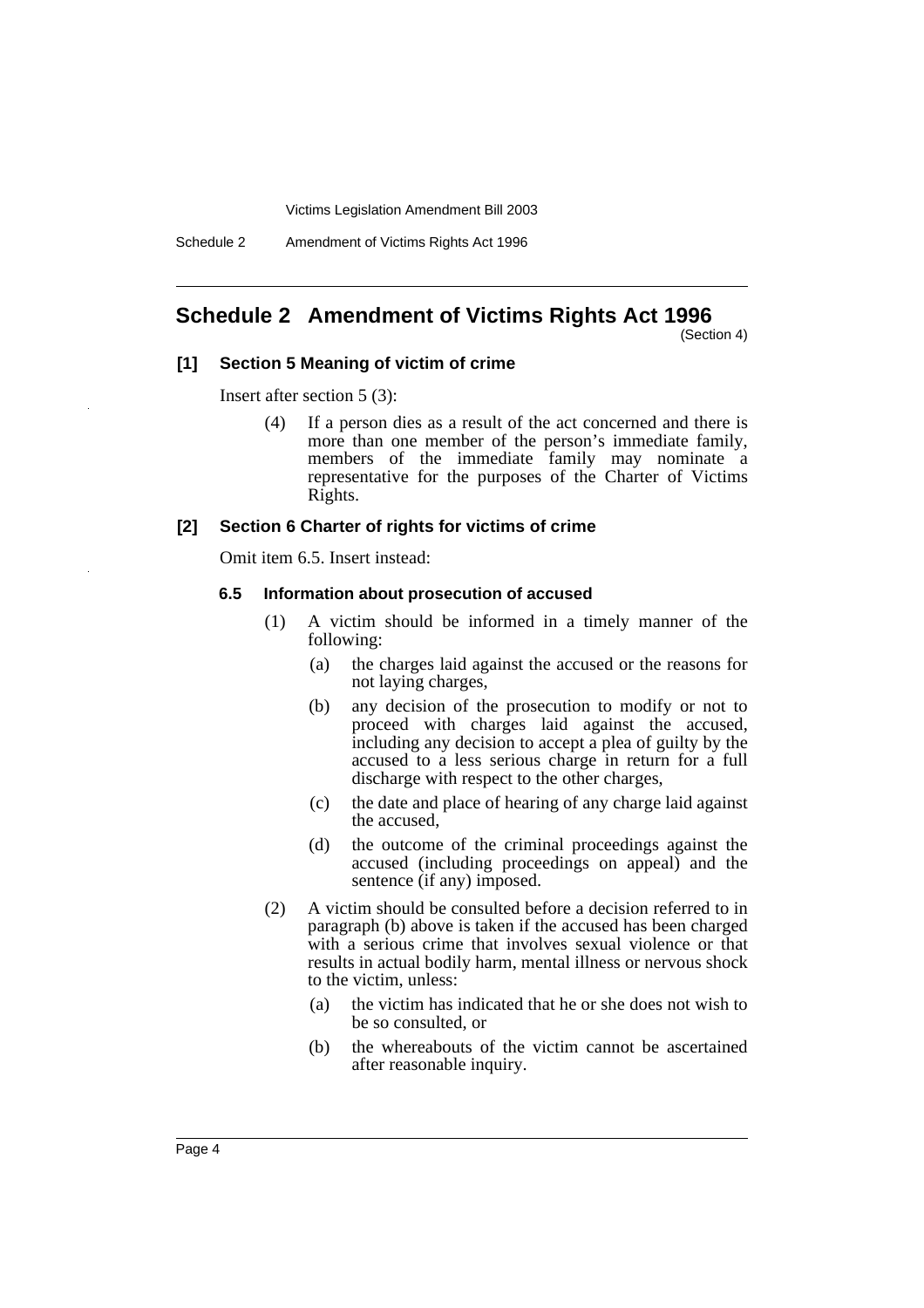Victims Legislation Amendment Bill 2003

Schedule 2 Amendment of Victims Rights Act 1996

# <span id="page-4-0"></span>**Schedule 2 Amendment of Victims Rights Act 1996**

(Section 4)

#### **[1] Section 5 Meaning of victim of crime**

Insert after section 5 (3):

(4) If a person dies as a result of the act concerned and there is more than one member of the person's immediate family, members of the immediate family may nominate a representative for the purposes of the Charter of Victims Rights.

#### **[2] Section 6 Charter of rights for victims of crime**

Omit item 6.5. Insert instead:

#### **6.5 Information about prosecution of accused**

- (1) A victim should be informed in a timely manner of the following:
	- (a) the charges laid against the accused or the reasons for not laying charges,
	- (b) any decision of the prosecution to modify or not to proceed with charges laid against the accused, including any decision to accept a plea of guilty by the accused to a less serious charge in return for a full discharge with respect to the other charges,
	- (c) the date and place of hearing of any charge laid against the accused,
	- (d) the outcome of the criminal proceedings against the accused (including proceedings on appeal) and the sentence (if any) imposed.
- (2) A victim should be consulted before a decision referred to in paragraph (b) above is taken if the accused has been charged with a serious crime that involves sexual violence or that results in actual bodily harm, mental illness or nervous shock to the victim, unless:
	- (a) the victim has indicated that he or she does not wish to be so consulted, or
	- (b) the whereabouts of the victim cannot be ascertained after reasonable inquiry.